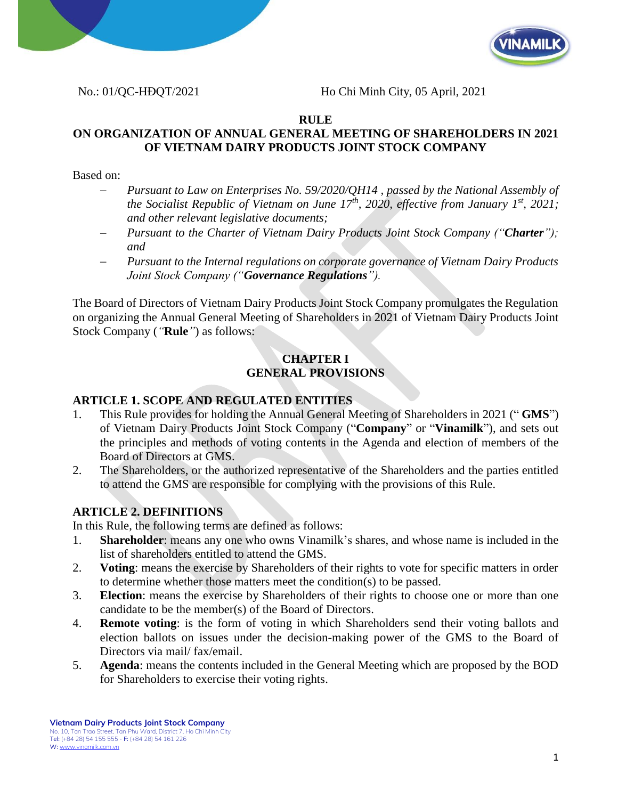



No.: 01/QC-HĐQT/2021 Ho Chi Minh City, 05 April, 2021

### **RULE**

## **ON ORGANIZATION OF ANNUAL GENERAL MEETING OF SHAREHOLDERS IN 2021 OF VIETNAM DAIRY PRODUCTS JOINT STOCK COMPANY**

Based on:

- − *Pursuant to Law on Enterprises No. 59/2020/QH14 , passed by the National Assembly of the Socialist Republic of Vietnam on June 17<sup>th</sup>, 2020, effective from January 1<sup>st</sup>, 2021; and other relevant legislative documents;*
- − *Pursuant to the Charter of Vietnam Dairy Products Joint Stock Company ("Charter"); and*
- − *Pursuant to the Internal regulations on corporate governance of Vietnam Dairy Products Joint Stock Company ("Governance Regulations").*

The Board of Directors of Vietnam Dairy Products Joint Stock Company promulgates the Regulation on organizing the Annual General Meeting of Shareholders in 2021 of Vietnam Dairy Products Joint Stock Company (*"***Rule***"*) as follows:

#### **CHAPTER I GENERAL PROVISIONS**

## **ARTICLE 1. SCOPE AND REGULATED ENTITIES**

- 1. This Rule provides for holding the Annual General Meeting of Shareholders in 2021 (" **GMS**") of Vietnam Dairy Products Joint Stock Company ("**Company**" or "**Vinamilk**"), and sets out the principles and methods of voting contents in the Agenda and election of members of the Board of Directors at GMS.
- 2. The Shareholders, or the authorized representative of the Shareholders and the parties entitled to attend the GMS are responsible for complying with the provisions of this Rule.

## **ARTICLE 2. DEFINITIONS**

In this Rule, the following terms are defined as follows:

- 1. **Shareholder**: means any one who owns Vinamilk's shares, and whose name is included in the list of shareholders entitled to attend the GMS.
- 2. **Voting**: means the exercise by Shareholders of their rights to vote for specific matters in order to determine whether those matters meet the condition(s) to be passed.
- 3. **Election**: means the exercise by Shareholders of their rights to choose one or more than one candidate to be the member(s) of the Board of Directors.
- 4. **Remote voting**: is the form of voting in which Shareholders send their voting ballots and election ballots on issues under the decision-making power of the GMS to the Board of Directors via mail/ fax/email.
- 5. **Agenda**: means the contents included in the General Meeting which are proposed by the BOD for Shareholders to exercise their voting rights.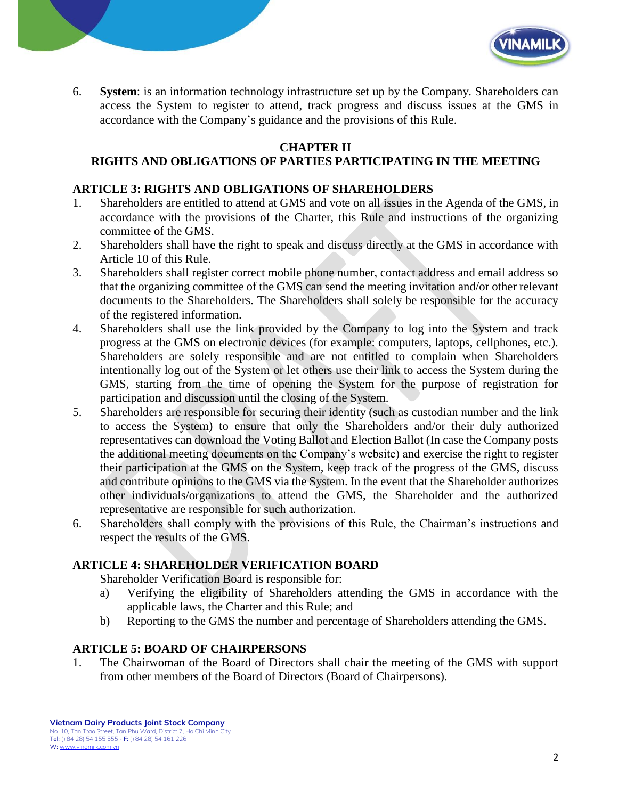

6. **System**: is an information technology infrastructure set up by the Company. Shareholders can access the System to register to attend, track progress and discuss issues at the GMS in accordance with the Company's guidance and the provisions of this Rule.

# **CHAPTER II**

# **RIGHTS AND OBLIGATIONS OF PARTIES PARTICIPATING IN THE MEETING**

#### **ARTICLE 3: RIGHTS AND OBLIGATIONS OF SHAREHOLDERS**

- 1. Shareholders are entitled to attend at GMS and vote on all issues in the Agenda of the GMS, in accordance with the provisions of the Charter, this Rule and instructions of the organizing committee of the GMS.
- 2. Shareholders shall have the right to speak and discuss directly at the GMS in accordance with Article 10 of this Rule.
- 3. Shareholders shall register correct mobile phone number, contact address and email address so that the organizing committee of the GMS can send the meeting invitation and/or other relevant documents to the Shareholders. The Shareholders shall solely be responsible for the accuracy of the registered information.
- 4. Shareholders shall use the link provided by the Company to log into the System and track progress at the GMS on electronic devices (for example: computers, laptops, cellphones, etc.). Shareholders are solely responsible and are not entitled to complain when Shareholders intentionally log out of the System or let others use their link to access the System during the GMS, starting from the time of opening the System for the purpose of registration for participation and discussion until the closing of the System.
- 5. Shareholders are responsible for securing their identity (such as custodian number and the link to access the System) to ensure that only the Shareholders and/or their duly authorized representatives can download the Voting Ballot and Election Ballot (In case the Company posts the additional meeting documents on the Company's website) and exercise the right to register their participation at the GMS on the System, keep track of the progress of the GMS, discuss and contribute opinions to the GMS via the System. In the event that the Shareholder authorizes other individuals/organizations to attend the GMS, the Shareholder and the authorized representative are responsible for such authorization.
- 6. Shareholders shall comply with the provisions of this Rule, the Chairman's instructions and respect the results of the GMS.

#### **ARTICLE 4: SHAREHOLDER VERIFICATION BOARD**

Shareholder Verification Board is responsible for:

- a) Verifying the eligibility of Shareholders attending the GMS in accordance with the applicable laws, the Charter and this Rule; and
- b) Reporting to the GMS the number and percentage of Shareholders attending the GMS.

#### **ARTICLE 5: BOARD OF CHAIRPERSONS**

1. The Chairwoman of the Board of Directors shall chair the meeting of the GMS with support from other members of the Board of Directors (Board of Chairpersons).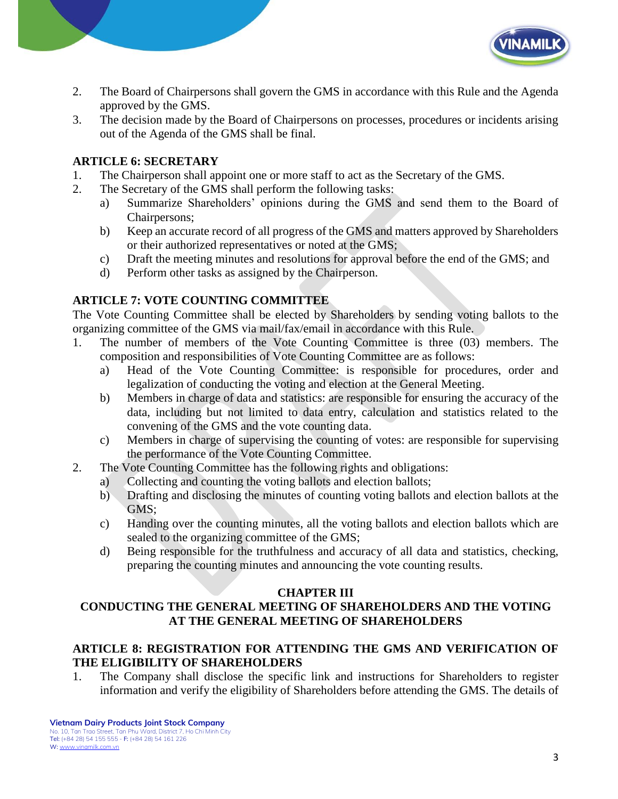

- 2. The Board of Chairpersons shall govern the GMS in accordance with this Rule and the Agenda approved by the GMS.
- 3. The decision made by the Board of Chairpersons on processes, procedures or incidents arising out of the Agenda of the GMS shall be final.

# **ARTICLE 6: SECRETARY**

- 1. The Chairperson shall appoint one or more staff to act as the Secretary of the GMS.
- 2. The Secretary of the GMS shall perform the following tasks:
	- a) Summarize Shareholders' opinions during the GMS and send them to the Board of Chairpersons;
	- b) Keep an accurate record of all progress of the GMS and matters approved by Shareholders or their authorized representatives or noted at the GMS;
	- c) Draft the meeting minutes and resolutions for approval before the end of the GMS; and
	- d) Perform other tasks as assigned by the Chairperson.

# **ARTICLE 7: VOTE COUNTING COMMITTEE**

The Vote Counting Committee shall be elected by Shareholders by sending voting ballots to the organizing committee of the GMS via mail/fax/email in accordance with this Rule.

- 1. The number of members of the Vote Counting Committee is three (03) members. The composition and responsibilities of Vote Counting Committee are as follows:
	- a) Head of the Vote Counting Committee: is responsible for procedures, order and legalization of conducting the voting and election at the General Meeting.
	- b) Members in charge of data and statistics: are responsible for ensuring the accuracy of the data, including but not limited to data entry, calculation and statistics related to the convening of the GMS and the vote counting data.
	- c) Members in charge of supervising the counting of votes: are responsible for supervising the performance of the Vote Counting Committee.
- 2. The Vote Counting Committee has the following rights and obligations:
	- a) Collecting and counting the voting ballots and election ballots;
	- b) Drafting and disclosing the minutes of counting voting ballots and election ballots at the GMS;
	- c) Handing over the counting minutes, all the voting ballots and election ballots which are sealed to the organizing committee of the GMS;
	- d) Being responsible for the truthfulness and accuracy of all data and statistics, checking, preparing the counting minutes and announcing the vote counting results.

## **CHAPTER III**

# **CONDUCTING THE GENERAL MEETING OF SHAREHOLDERS AND THE VOTING AT THE GENERAL MEETING OF SHAREHOLDERS**

### **ARTICLE 8: REGISTRATION FOR ATTENDING THE GMS AND VERIFICATION OF THE ELIGIBILITY OF SHAREHOLDERS**

1. The Company shall disclose the specific link and instructions for Shareholders to register information and verify the eligibility of Shareholders before attending the GMS. The details of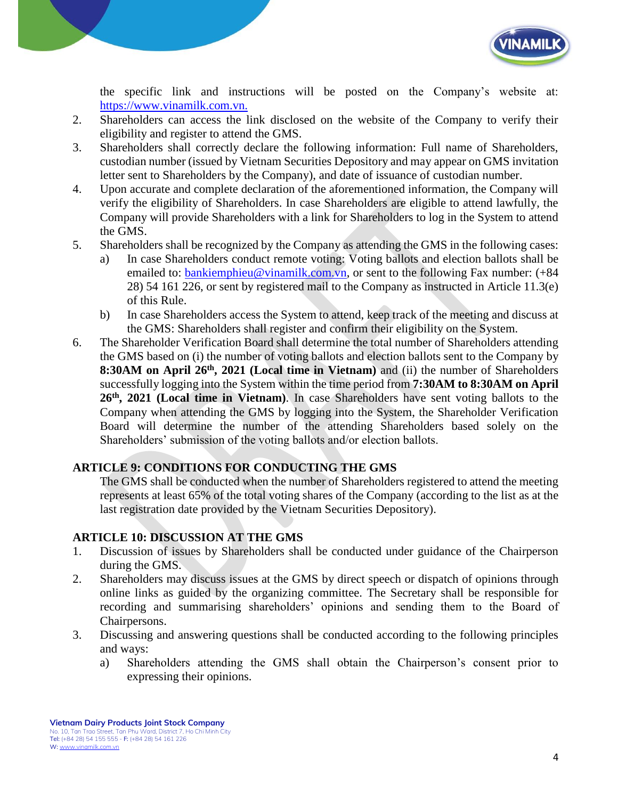

the specific link and instructions will be posted on the Company's website at: [https://www.vinamilk.com.vn.](https://www.vinamilk.com.vn./)

- 2. Shareholders can access the link disclosed on the website of the Company to verify their eligibility and register to attend the GMS.
- 3. Shareholders shall correctly declare the following information: Full name of Shareholders, custodian number (issued by Vietnam Securities Depository and may appear on GMS invitation letter sent to Shareholders by the Company), and date of issuance of custodian number.
- 4. Upon accurate and complete declaration of the aforementioned information, the Company will verify the eligibility of Shareholders. In case Shareholders are eligible to attend lawfully, the Company will provide Shareholders with a link for Shareholders to log in the System to attend the GMS.
- 5. Shareholders shall be recognized by the Company as attending the GMS in the following cases:
	- a) In case Shareholders conduct remote voting: Voting ballots and election ballots shall be emailed to: [bankiemphieu@vinamilk.com.vn,](mailto:bankiemphieu@vinamilk.com.vn) or sent to the following Fax number: (+84 28) 54 161 226, or sent by registered mail to the Company as instructed in Article 11.3(e) of this Rule.
	- b) In case Shareholders access the System to attend, keep track of the meeting and discuss at the GMS: Shareholders shall register and confirm their eligibility on the System.
- 6. The Shareholder Verification Board shall determine the total number of Shareholders attending the GMS based on (i) the number of voting ballots and election ballots sent to the Company by **8:30AM** on April 26<sup>th</sup>, 2021 (Local time in Vietnam) and (ii) the number of Shareholders successfully logging into the System within the time period from **7:30AM to 8:30AM on April 26th , 2021 (Local time in Vietnam)**. In case Shareholders have sent voting ballots to the Company when attending the GMS by logging into the System, the Shareholder Verification Board will determine the number of the attending Shareholders based solely on the Shareholders' submission of the voting ballots and/or election ballots.

# **ARTICLE 9: CONDITIONS FOR CONDUCTING THE GMS**

The GMS shall be conducted when the number of Shareholders registered to attend the meeting represents at least 65% of the total voting shares of the Company (according to the list as at the last registration date provided by the Vietnam Securities Depository).

## **ARTICLE 10: DISCUSSION AT THE GMS**

- 1. Discussion of issues by Shareholders shall be conducted under guidance of the Chairperson during the GMS.
- 2. Shareholders may discuss issues at the GMS by direct speech or dispatch of opinions through online links as guided by the organizing committee. The Secretary shall be responsible for recording and summarising shareholders' opinions and sending them to the Board of Chairpersons.
- 3. Discussing and answering questions shall be conducted according to the following principles and ways:
	- a) Shareholders attending the GMS shall obtain the Chairperson's consent prior to expressing their opinions.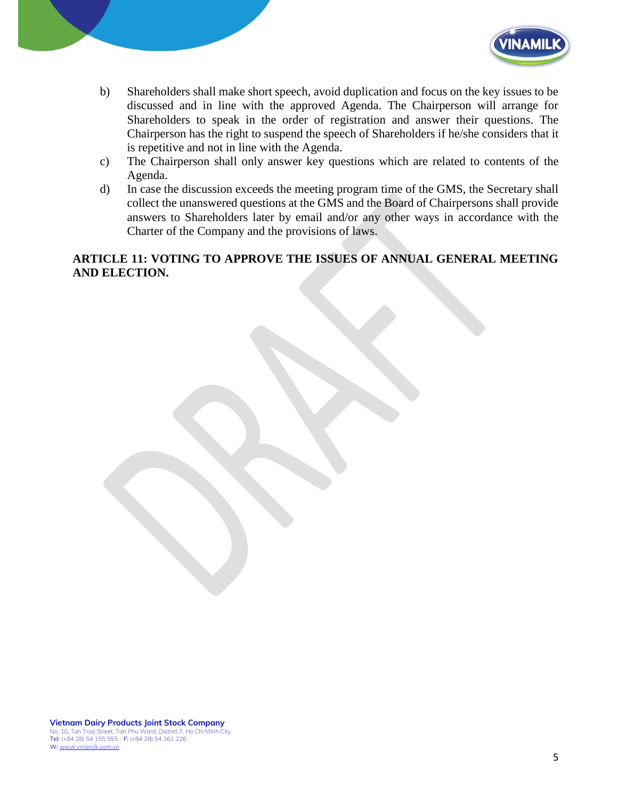

- b) Shareholders shall make short speech, avoid duplication and focus on the key issues to be discussed and in line with the approved Agenda. The Chairperson will arrange for Shareholders to speak in the order of registration and answer their questions. The Chairperson has the right to suspend the speech of Shareholders if he/she considers that it is repetitive and not in line with the Agenda.
- c) The Chairperson shall only answer key questions which are related to contents of the Agenda.
- d) In case the discussion exceeds the meeting program time of the GMS, the Secretary shall collect the unanswered questions at the GMS and the Board of Chairpersons shall provide answers to Shareholders later by email and/or any other ways in accordance with the Charter of the Company and the provisions of laws.

# **ARTICLE 11: VOTING TO APPROVE THE ISSUES OF ANNUAL GENERAL MEETING AND ELECTION.**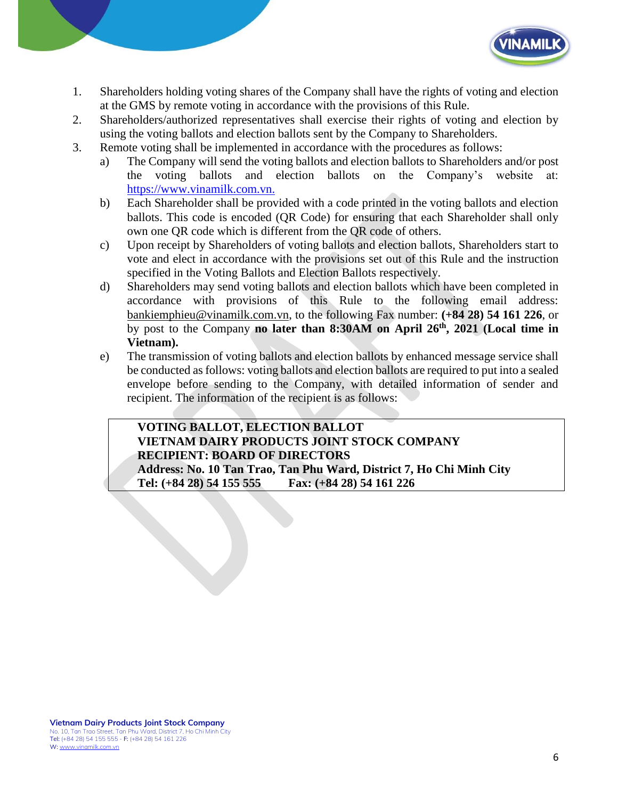

- 1. Shareholders holding voting shares of the Company shall have the rights of voting and election at the GMS by remote voting in accordance with the provisions of this Rule.
- 2. Shareholders/authorized representatives shall exercise their rights of voting and election by using the voting ballots and election ballots sent by the Company to Shareholders.
- 3. Remote voting shall be implemented in accordance with the procedures as follows:
	- a) The Company will send the voting ballots and election ballots to Shareholders and/or post the voting ballots and election ballots on the Company's website at: [https://www.vinamilk.com.vn.](https://www.vinamilk.com.vn./)
	- b) Each Shareholder shall be provided with a code printed in the voting ballots and election ballots. This code is encoded (QR Code) for ensuring that each Shareholder shall only own one QR code which is different from the QR code of others.
	- c) Upon receipt by Shareholders of voting ballots and election ballots, Shareholders start to vote and elect in accordance with the provisions set out of this Rule and the instruction specified in the Voting Ballots and Election Ballots respectively.
	- d) Shareholders may send voting ballots and election ballots which have been completed in accordance with provisions of this Rule to the following email address: [bankiemphieu@vinamilk.com.vn,](mailto:bankiemphieu@vinamilk.com.vn) to the following Fax number: **(+84 28) 54 161 226**, or by post to the Company **no later than 8:30AM on April 26 th, 2021 (Local time in Vietnam).**
	- e) The transmission of voting ballots and election ballots by enhanced message service shall be conducted as follows: voting ballots and election ballots are required to put into a sealed envelope before sending to the Company, with detailed information of sender and recipient. The information of the recipient is as follows:

## **VOTING BALLOT, ELECTION BALLOT VIETNAM DAIRY PRODUCTS JOINT STOCK COMPANY RECIPIENT: BOARD OF DIRECTORS Address: No. 10 Tan Trao, Tan Phu Ward, District 7, Ho Chi Minh City Tel: (+84 28) 54 155 555 Fax: (+84 28) 54 161 226**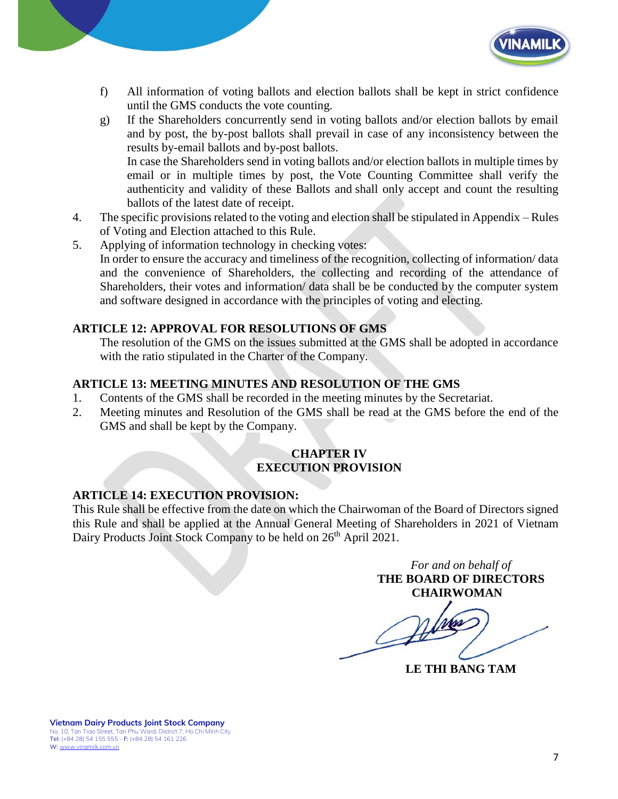

- f) All information of voting ballots and election ballots shall be kept in strict confidence until the GMS conducts the vote counting.
- g) If the Shareholders concurrently send in voting ballots and/or election ballots by email and by post, the by-post ballots shall prevail in case of any inconsistency between the results by-email ballots and by-post ballots. In case the Shareholders send in voting ballots and/or election ballots in multiple times by email or in multiple times by post, the Vote Counting Committee shall verify the authenticity and validity of these Ballots and shall only accept and count the resulting ballots of the latest date of receipt.
- 4. The specific provisions related to the voting and election shall be stipulated in Appendix Rules of Voting and Election attached to this Rule.
- 5. Applying of information technology in checking votes: In order to ensure the accuracy and timeliness of the recognition, collecting of information/ data and the convenience of Shareholders, the collecting and recording of the attendance of Shareholders, their votes and information/ data shall be be conducted by the computer system and software designed in accordance with the principles of voting and electing.

## **ARTICLE 12: APPROVAL FOR RESOLUTIONS OF GMS**

The resolution of the GMS on the issues submitted at the GMS shall be adopted in accordance with the ratio stipulated in the Charter of the Company.

## **ARTICLE 13: MEETING MINUTES AND RESOLUTION OF THE GMS**

- 1. Contents of the GMS shall be recorded in the meeting minutes by the Secretariat.
- 2. Meeting minutes and Resolution of the GMS shall be read at the GMS before the end of the GMS and shall be kept by the Company.

#### **CHAPTER IV EXECUTION PROVISION**

## **ARTICLE 14: EXECUTION PROVISION:**

This Rule shall be effective from the date on which the Chairwoman of the Board of Directors signed this Rule and shall be applied at the Annual General Meeting of Shareholders in 2021 of Vietnam Dairy Products Joint Stock Company to be held on 26<sup>th</sup> April 2021.

*For and on behalf of* **THE BOARD OF DIRECTORS CHAIRWOMAN**

**LE THI BANG TAM**

**Vietnam Dairy Products Joint Stock Company** No. 10, Tan Trao Street, Tan Phu Ward, District 7, Ho Chi Minh City Tel: (+84 28) 54 155 555 - F: (+84 28) 54 161 226 W: [www.vinamilk.com.vn](http://www.vinamilk.com.vn/)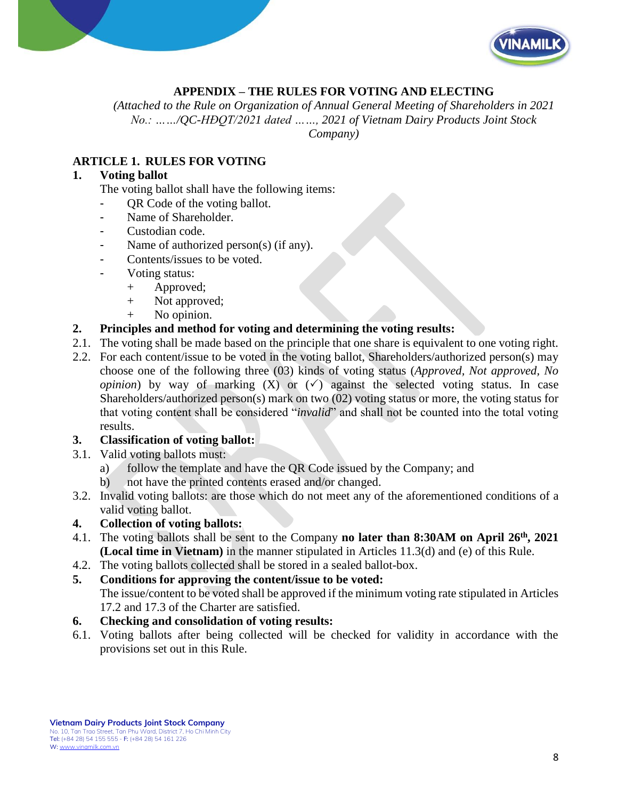

## **APPENDIX – THE RULES FOR VOTING AND ELECTING**

*(Attached to the Rule on Organization of Annual General Meeting of Shareholders in 2021 No.: ……/QC-HĐQT/2021 dated ……, 2021 of Vietnam Dairy Products Joint Stock Company)*

# **ARTICLE 1. RULES FOR VOTING**

#### **1. Voting ballot**

The voting ballot shall have the following items:

- QR Code of the voting ballot.
- Name of Shareholder.
- Custodian code.
- Name of authorized person(s) (if any).
- Contents/issues to be voted.
- Voting status:
	- + Approved;
	- + Not approved;
	- + No opinion.

### **2. Principles and method for voting and determining the voting results:**

- 2.1. The voting shall be made based on the principle that one share is equivalent to one voting right.
- 2.2. For each content/issue to be voted in the voting ballot, Shareholders/authorized person(s) may choose one of the following three (03) kinds of voting status (*Approved, Not approved, No opinion*) by way of marking  $(X)$  or  $(\checkmark)$  against the selected voting status. In case Shareholders/authorized person(s) mark on two (02) voting status or more, the voting status for that voting content shall be considered "*invalid*" and shall not be counted into the total voting results.

#### **3. Classification of voting ballot:**

- 3.1. Valid voting ballots must:
	- a) follow the template and have the QR Code issued by the Company; and
	- b) not have the printed contents erased and/or changed.
- 3.2. Invalid voting ballots: are those which do not meet any of the aforementioned conditions of a valid voting ballot.

#### **4. Collection of voting ballots:**

- 4.1. The voting ballots shall be sent to the Company **no later than 8:30AM on April 26 th , 2021 (Local time in Vietnam)** in the manner stipulated in Articles 11.3(d) and (e) of this Rule.
- 4.2. The voting ballots collected shall be stored in a sealed ballot-box.

#### **5. Conditions for approving the content/issue to be voted:**

The issue/content to be voted shall be approved if the minimum voting rate stipulated in Articles 17.2 and 17.3 of the Charter are satisfied.

#### **6. Checking and consolidation of voting results:**

6.1. Voting ballots after being collected will be checked for validity in accordance with the provisions set out in this Rule.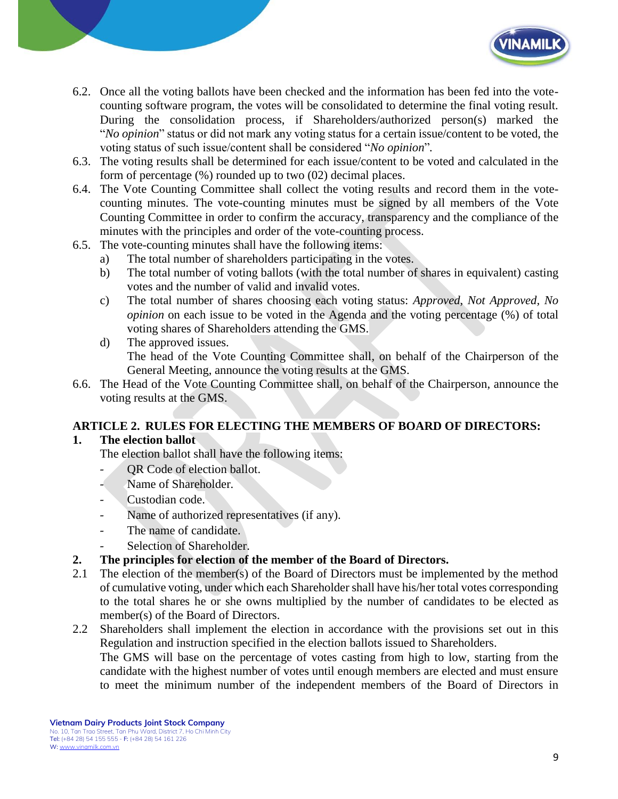

- 6.2. Once all the voting ballots have been checked and the information has been fed into the votecounting software program, the votes will be consolidated to determine the final voting result. During the consolidation process, if Shareholders/authorized person(s) marked the "*No opinion*" status or did not mark any voting status for a certain issue/content to be voted, the voting status of such issue/content shall be considered "*No opinion*"*.*
- 6.3. The voting results shall be determined for each issue/content to be voted and calculated in the form of percentage (%) rounded up to two (02) decimal places.
- 6.4. The Vote Counting Committee shall collect the voting results and record them in the votecounting minutes. The vote-counting minutes must be signed by all members of the Vote Counting Committee in order to confirm the accuracy, transparency and the compliance of the minutes with the principles and order of the vote-counting process.
- 6.5. The vote-counting minutes shall have the following items:
	- a) The total number of shareholders participating in the votes.
	- b) The total number of voting ballots (with the total number of shares in equivalent) casting votes and the number of valid and invalid votes.
	- c) The total number of shares choosing each voting status: *Approved, Not Approved, No opinion* on each issue to be voted in the Agenda and the voting percentage (%) of total voting shares of Shareholders attending the GMS.
	- d) The approved issues. The head of the Vote Counting Committee shall, on behalf of the Chairperson of the General Meeting, announce the voting results at the GMS.
- 6.6. The Head of the Vote Counting Committee shall, on behalf of the Chairperson, announce the voting results at the GMS.

## **ARTICLE 2. RULES FOR ELECTING THE MEMBERS OF BOARD OF DIRECTORS:**

## **1. The election ballot**

The election ballot shall have the following items:

- QR Code of election ballot.
- Name of Shareholder.
- Custodian code.
- Name of authorized representatives (if any).
- The name of candidate.
- Selection of Shareholder.
- **2. The principles for election of the member of the Board of Directors.**
- 2.1 The election of the member(s) of the Board of Directors must be implemented by the method of cumulative voting, under which each Shareholder shall have his/her total votes corresponding to the total shares he or she owns multiplied by the number of candidates to be elected as member(s) of the Board of Directors.
- 2.2 Shareholders shall implement the election in accordance with the provisions set out in this Regulation and instruction specified in the election ballots issued to Shareholders. The GMS will base on the percentage of votes casting from high to low, starting from the candidate with the highest number of votes until enough members are elected and must ensure to meet the minimum number of the independent members of the Board of Directors in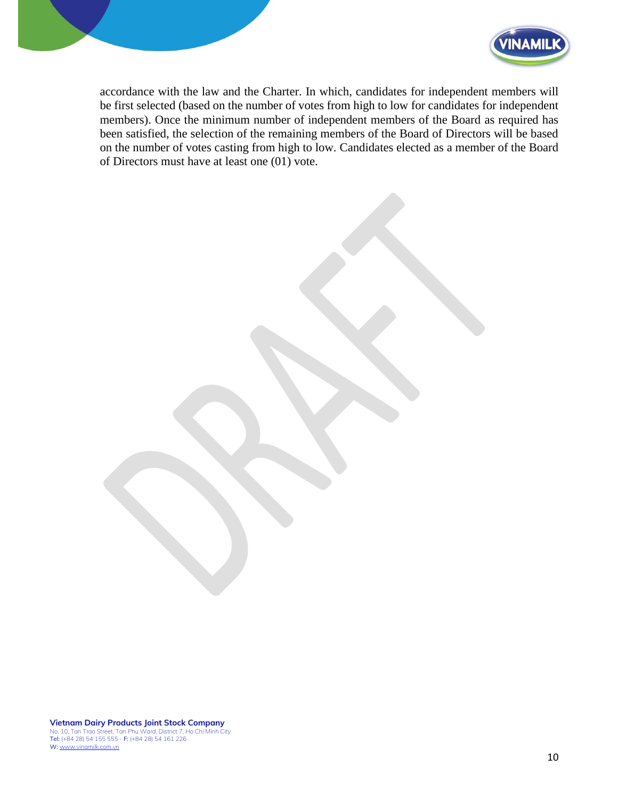



accordance with the law and the Charter. In which, candidates for independent members will be first selected (based on the number of votes from high to low for candidates for independent members). Once the minimum number of independent members of the Board as required has been satisfied, the selection of the remaining members of the Board of Directors will be based on the number of votes casting from high to low. Candidates elected as a member of the Board of Directors must have at least one (01) vote.

**Vietnam Dairy Products Joint Stock Company** No. 10, Tan Trao Street, Tan Phu Ward, District 7, Ho Chi Minh City<br>**Tel:** (+84 28) 54 155 555 - **F:** (+84 28) 54 161 226 W: [www.vinamilk.com.vn](http://www.vinamilk.com.vn/)